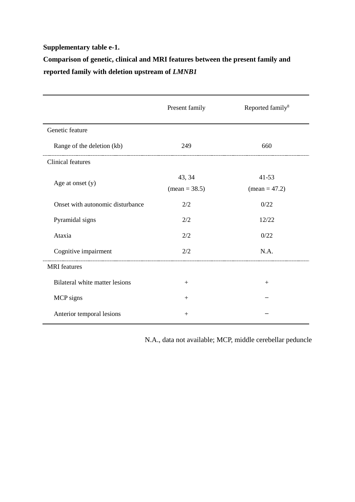#### **Supplementary table e-1.**

# **Comparison of genetic, clinical and MRI features between the present family and reported family with deletion upstream of** *LMNB1*

|                                  | Present family          | Reported family <sup>8</sup> |
|----------------------------------|-------------------------|------------------------------|
| Genetic feature                  |                         |                              |
| Range of the deletion (kb)       | 249                     | 660                          |
| <b>Clinical features</b>         |                         |                              |
| Age at onset (y)                 | 43, 34<br>$mean = 38.5$ | $41 - 53$<br>$mean = 47.2$   |
| Onset with autonomic disturbance | 2/2                     | 0/22                         |
| Pyramidal signs                  | 2/2                     | 12/22                        |
| Ataxia                           | 2/2                     | 0/22                         |
| Cognitive impairment             | 2/2                     | N.A.                         |
| <b>MRI</b> features              |                         |                              |
| Bilateral white matter lesions   | $+$                     | $+$                          |
| MCP signs                        | $+$                     |                              |
| Anterior temporal lesions        | $+$                     |                              |

N.A., data not available; MCP, middle cerebellar peduncle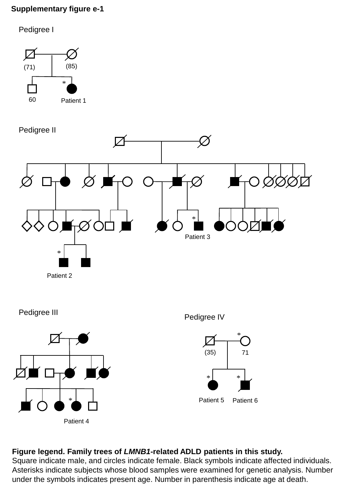### **Supplementary figure e-1**

Pedigree I







Patient 2







Patient 5 Patient 6

## **Figure legend. Family trees of** *LMNB1***-related ADLD patients in this study.**

Square indicate male, and circles indicate female. Black symbols indicate affected individuals. Asterisks indicate subjects whose blood samples were examined for genetic analysis. Number under the symbols indicates present age. Number in parenthesis indicate age at death.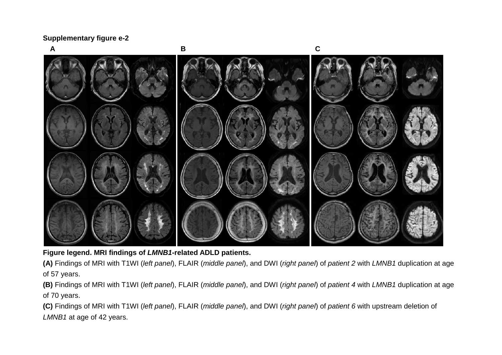**Supplementary figure e-2**



**Figure legend. MRI findings of** *LMNB1***-related ADLD patients.**

**(A)** Findings of MRI with T1WI (*left panel*), FLAIR (*middle panel*), and DWI (*right panel*) of *patient 2* with *LMNB1* duplication at age of 57 years.

**(B)** Findings of MRI with T1WI (*left panel*), FLAIR (*middle panel*), and DWI (*right panel*) of *patient 4* with *LMNB1* duplication at age of 70 years.

**(C)** Findings of MRI with T1WI (*left panel*), FLAIR (*middle panel*), and DWI (*right panel*) of *patient 6* with upstream deletion of *LMNB1* at age of 42 years.